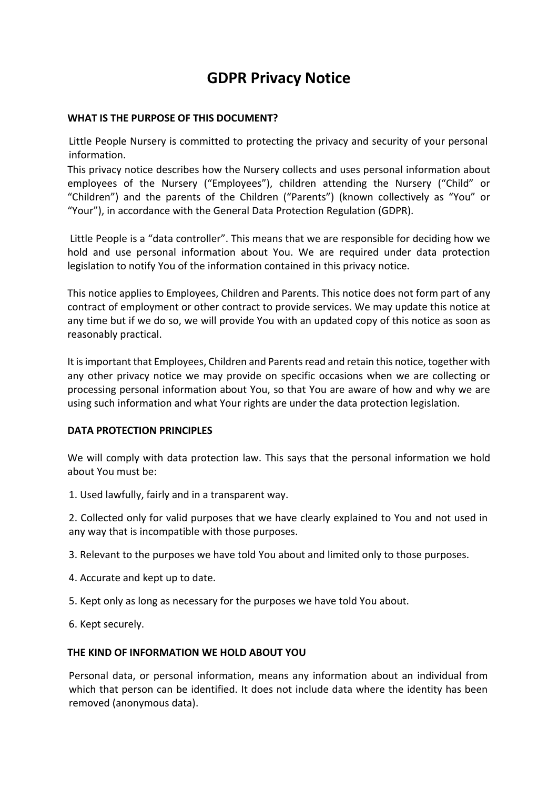# **GDPR Privacy Notice**

## **WHAT IS THE PURPOSE OF THIS DOCUMENT?**

Little People Nursery is committed to protecting the privacy and security of your personal information.

This privacy notice describes how the Nursery collects and uses personal information about employees of the Nursery ("Employees"), children attending the Nursery ("Child" or "Children") and the parents of the Children ("Parents") (known collectively as "You" or "Your"), in accordance with the General Data Protection Regulation (GDPR).

Little People is a "data controller". This means that we are responsible for deciding how we hold and use personal information about You. We are required under data protection legislation to notify You of the information contained in this privacy notice.

This notice applies to Employees, Children and Parents. This notice does not form part of any contract of employment or other contract to provide services. We may update this notice at any time but if we do so, we will provide You with an updated copy of this notice as soon as reasonably practical.

It is important that Employees, Children and Parents read and retain this notice, together with any other privacy notice we may provide on specific occasions when we are collecting or processing personal information about You, so that You are aware of how and why we are using such information and what Your rights are under the data protection legislation.

#### <span id="page-0-0"></span>**DATA PROTECTION PRINCIPLES**

We will comply with data protection law. This says that the personal information we hold about You must be:

1. Used lawfully, fairly and in a transparent way.

2. Collected only for valid purposes that we have clearly explained to You and not used in any way that is incompatible with those purposes.

3. Relevant to the purposes we have told You about and limited only to those purposes.

- 4. Accurate and kept up to date.
- 5. Kept only as long as necessary for the purposes we have told You about.
- 6. Kept securely.

#### **THE KIND OF INFORMATION WE HOLD ABOUT YOU**

Personal data, or personal information, means any information about an individual from which that person can be identified. It does not include data where the identity has been removed (anonymous data).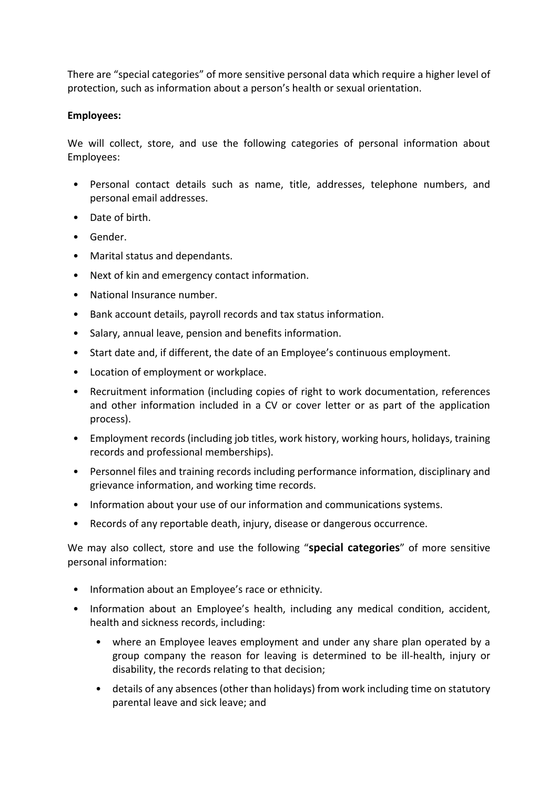There are "special categories" of more sensitive personal data which require a higher level of protection, such as information about a person's health or sexual orientation.

## **Employees:**

We will collect, store, and use the following categories of personal information about Employees:

- Personal contact details such as name, title, addresses, telephone numbers, and personal email addresses.
- Date of birth.
- Gender.
- Marital status and dependants.
- Next of kin and emergency contact information.
- National Insurance number.
- Bank account details, payroll records and tax status information.
- Salary, annual leave, pension and benefits information.
- Start date and, if different, the date of an Employee's continuous employment.
- Location of employment or workplace.
- Recruitment information (including copies of right to work documentation, references and other information included in a CV or cover letter or as part of the application process).
- Employment records (including job titles, work history, working hours, holidays, training records and professional memberships).
- Personnel files and training records including performance information, disciplinary and grievance information, and working time records.
- Information about your use of our information and communications systems.
- Records of any reportable death, injury, disease or dangerous occurrence.

We may also collect, store and use the following "**special categories**" of more sensitive personal information:

- Information about an Employee's race or ethnicity.
- Information about an Employee's health, including any medical condition, accident, health and sickness records, including:
	- where an Employee leaves employment and under any share plan operated by a group company the reason for leaving is determined to be ill-health, injury or disability, the records relating to that decision;
	- details of any absences (other than holidays) from work including time on statutory parental leave and sick leave; and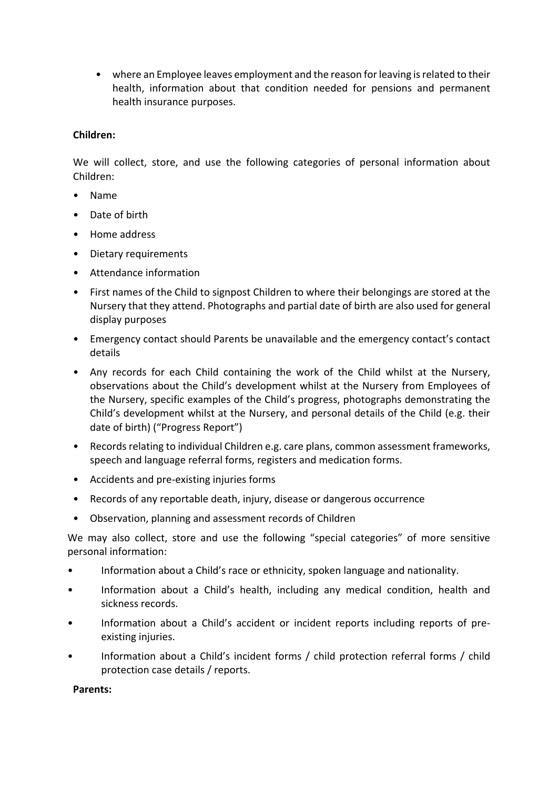• where an Employee leaves employment and the reason for leaving is related to their health, information about that condition needed for pensions and permanent health insurance purposes.

# **Children:**

We will collect, store, and use the following categories of personal information about Children:

- Name
- Date of birth
- Home address
- Dietary requirements
- Attendance information
- First names of the Child to signpost Children to where their belongings are stored at the Nursery that they attend. Photographs and partial date of birth are also used for general display purposes
- Emergency contact should Parents be unavailable and the emergency contact's contact details
- Any records for each Child containing the work of the Child whilst at the Nursery, observations about the Child's development whilst at the Nursery from Employees of the Nursery, specific examples of the Child's progress, photographs demonstrating the Child's development whilst at the Nursery, and personal details of the Child (e.g. their date of birth) ("Progress Report")
- Records relating to individual Children e.g. care plans, common assessment frameworks, speech and language referral forms, registers and medication forms.
- Accidents and pre-existing injuries forms
- Records of any reportable death, injury, disease or dangerous occurrence
- Observation, planning and assessment records of Children

We may also collect, store and use the following "special categories" of more sensitive personal information:

- Information about a Child's race or ethnicity, spoken language and nationality.
- Information about a Child's health, including any medical condition, health and sickness records.
- Information about a Child's accident or incident reports including reports of preexisting injuries.
- Information about a Child's incident forms / child protection referral forms / child protection case details / reports.

**Parents:**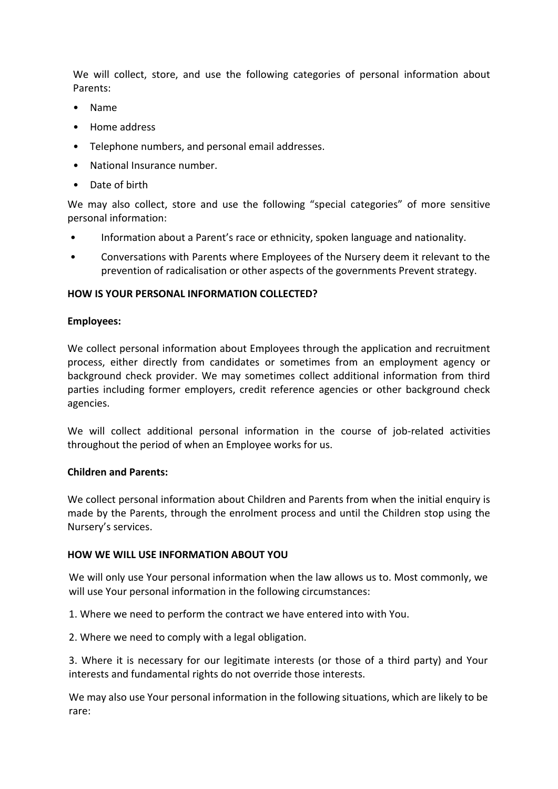We will collect, store, and use the following categories of personal information about Parents:

- Name
- Home address
- Telephone numbers, and personal email addresses.
- National Insurance number.
- Date of birth

We may also collect, store and use the following "special categories" of more sensitive personal information:

- Information about a Parent's race or ethnicity, spoken language and nationality.
- Conversations with Parents where Employees of the Nursery deem it relevant to the prevention of radicalisation or other aspects of the governments Prevent strategy.

#### **HOW IS YOUR PERSONAL INFORMATION COLLECTED?**

#### **Employees:**

We collect personal information about Employees through the application and recruitment process, either directly from candidates or sometimes from an employment agency or background check provider. We may sometimes collect additional information from third parties including former employers, credit reference agencies or other background check agencies.

We will collect additional personal information in the course of job-related activities throughout the period of when an Employee works for us.

#### **Children and Parents:**

We collect personal information about Children and Parents from when the initial enquiry is made by the Parents, through the enrolment process and until the Children stop using the Nursery's services.

#### **HOW WE WILL USE INFORMATION ABOUT YOU**

We will only use Your personal information when the law allows us to. Most commonly, we will use Your personal information in the following circumstances:

1. Where we need to perform the contract we have entered into with You.

2. Where we need to comply with a legal obligation.

3. Where it is necessary for our legitimate interests (or those of a third party) and Your interests and fundamental rights do not override those interests.

We may also use Your personal information in the following situations, which are likely to be rare: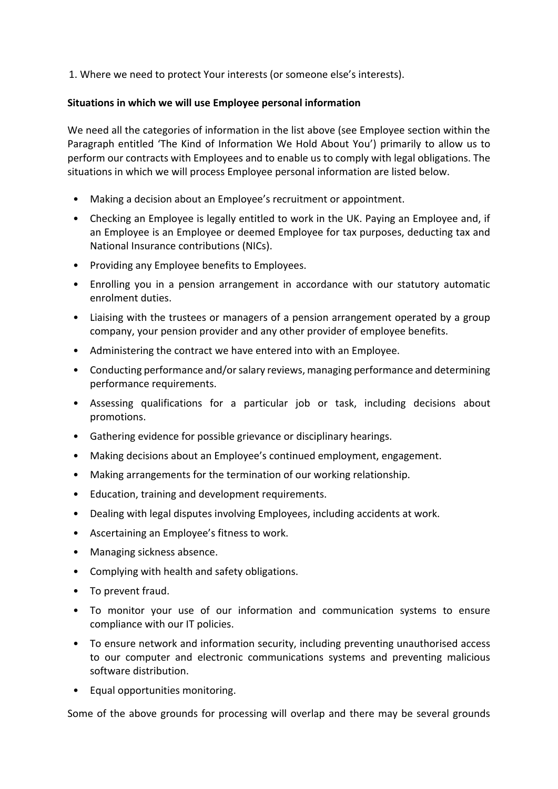1. Where we need to protect Your interests (or someone else's interests).

## **Situations in which we will use Employee personal information**

We need all the categories of information in the list above (see Employee section within the [Paragraph](#page-0-0) entitled 'The Kind of Information We Hold About You') primarily to allow us to perform our contracts with Employees and to enable us to comply with legal obligations. The situations in which we will process Employee personal information are listed below.

- Making a decision about an Employee's recruitment or appointment.
- Checking an Employee is legally entitled to work in the UK. Paying an Employee and, if an Employee is an Employee or deemed Employee for tax purposes, deducting tax and National Insurance contributions (NICs).
- Providing any Employee benefits to Employees.
- Enrolling you in a pension arrangement in accordance with our statutory automatic enrolment duties.
- Liaising with the trustees or managers of a pension arrangement operated by a group company, your pension provider and any other provider of employee benefits.
- Administering the contract we have entered into with an Employee.
- Conducting performance and/or salary reviews, managing performance and determining performance requirements.
- Assessing qualifications for a particular job or task, including decisions about promotions.
- Gathering evidence for possible grievance or disciplinary hearings.
- Making decisions about an Employee's continued employment, engagement.
- Making arrangements for the termination of our working relationship.
- Education, training and development requirements.
- Dealing with legal disputes involving Employees, including accidents at work.
- Ascertaining an Employee's fitness to work.
- Managing sickness absence.
- Complying with health and safety obligations.
- To prevent fraud.
- To monitor your use of our information and communication systems to ensure compliance with our IT policies.
- To ensure network and information security, including preventing unauthorised access to our computer and electronic communications systems and preventing malicious software distribution.
- Equal opportunities monitoring.

Some of the above grounds for processing will overlap and there may be several grounds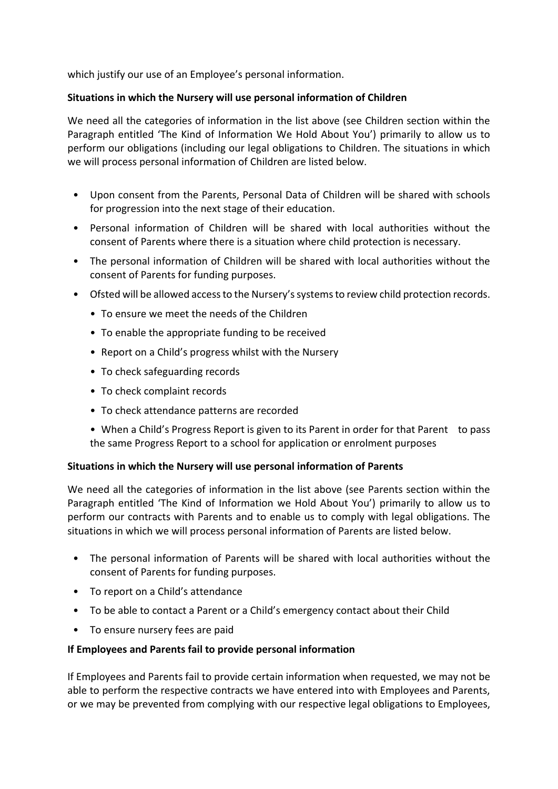which justify our use of an Employee's personal information.

## **Situations in which the Nursery will use personal information of Children**

We need all the categories of information in the list above (see Children section within the Paragraph entitled 'The Kind of Information We Hold About You') primarily to allow us to perform our obligations (including our legal obligations to Children. The situations in which we will process personal information of Children are listed below.

- Upon consent from the Parents, Personal Data of Children will be shared with schools for progression into the next stage of their education.
- Personal information of Children will be shared with local authorities without the consent of Parents where there is a situation where child protection is necessary.
- The personal information of Children will be shared with local authorities without the consent of Parents for funding purposes.
- Ofsted will be allowed access to the Nursery's systems to review child protection records.
	- To ensure we meet the needs of the Children
	- To enable the appropriate funding to be received
	- Report on a Child's progress whilst with the Nursery
	- To check safeguarding records
	- To check complaint records
	- To check attendance patterns are recorded
	- When a Child's Progress Report is given to its Parent in order for that Parent to pass the same Progress Report to a school for application or enrolment purposes

#### **Situations in which the Nursery will use personal information of Parents**

We need all the categories of information in the list above (see Parents section within the Paragraph entitled 'The Kind of Information we Hold About You') primarily to allow us to perform our contracts with Parents and to enable us to comply with legal obligations. The situations in which we will process personal information of Parents are listed below.

- The personal information of Parents will be shared with local authorities without the consent of Parents for funding purposes.
- To report on a Child's attendance
- To be able to contact a Parent or a Child's emergency contact about their Child
- To ensure nursery fees are paid

#### **If Employees and Parents fail to provide personal information**

If Employees and Parents fail to provide certain information when requested, we may not be able to perform the respective contracts we have entered into with Employees and Parents, or we may be prevented from complying with our respective legal obligations to Employees,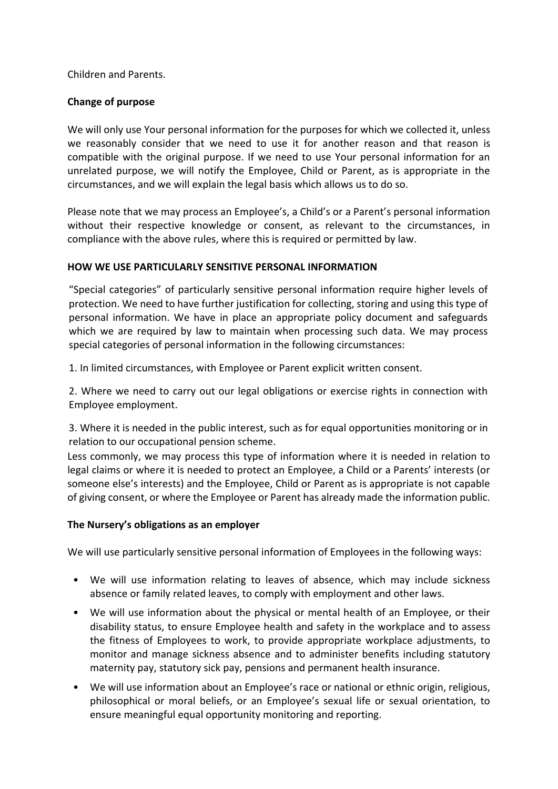Children and Parents.

# **Change of purpose**

We will only use Your personal information for the purposes for which we collected it, unless we reasonably consider that we need to use it for another reason and that reason is compatible with the original purpose. If we need to use Your personal information for an unrelated purpose, we will notify the Employee, Child or Parent, as is appropriate in the circumstances, and we will explain the legal basis which allows us to do so.

Please note that we may process an Employee's, a Child's or a Parent's personal information without their respective knowledge or consent, as relevant to the circumstances, in compliance with the above rules, where this is required or permitted by law.

# **HOW WE USE PARTICULARLY SENSITIVE PERSONAL INFORMATION**

"Special categories" of particularly sensitive personal information require higher levels of protection. We need to have further justification for collecting, storing and using this type of personal information. We have in place an appropriate policy document and safeguards which we are required by law to maintain when processing such data. We may process special categories of personal information in the following circumstances:

1. In limited circumstances, with Employee or Parent explicit written consent.

2. Where we need to carry out our legal obligations or exercise rights in connection with Employee employment.

3. Where it is needed in the public interest, such as for equal opportunities monitoring or in relation to our occupational pension scheme.

Less commonly, we may process this type of information where it is needed in relation to legal claims or where it is needed to protect an Employee, a Child or a Parents' interests (or someone else's interests) and the Employee, Child or Parent as is appropriate is not capable of giving consent, or where the Employee or Parent has already made the information public.

# **The Nursery's obligations as an employer**

We will use particularly sensitive personal information of Employees in the following ways:

- We will use information relating to leaves of absence, which may include sickness absence or family related leaves, to comply with employment and other laws.
- We will use information about the physical or mental health of an Employee, or their disability status, to ensure Employee health and safety in the workplace and to assess the fitness of Employees to work, to provide appropriate workplace adjustments, to monitor and manage sickness absence and to administer benefits including statutory maternity pay, statutory sick pay, pensions and permanent health insurance.
- We will use information about an Employee's race or national or ethnic origin, religious, philosophical or moral beliefs, or an Employee's sexual life or sexual orientation, to ensure meaningful equal opportunity monitoring and reporting.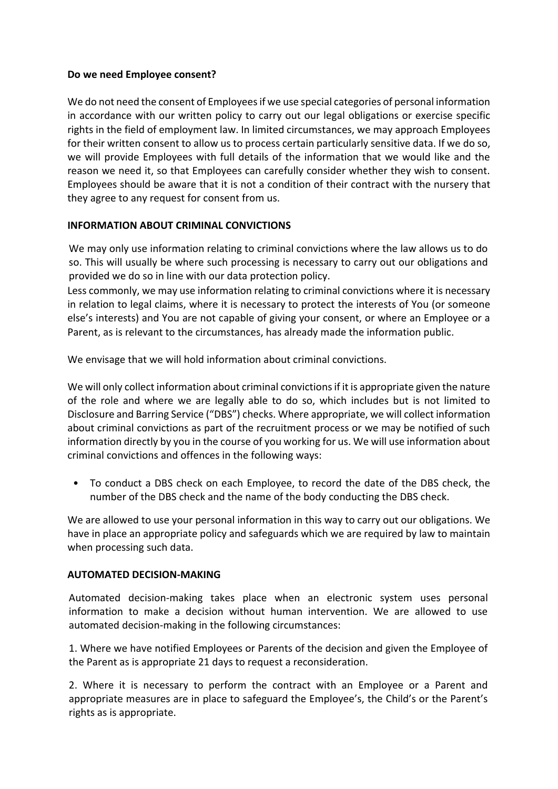## **Do we need Employee consent?**

We do not need the consent of Employees if we use special categories of personal information in accordance with our written policy to carry out our legal obligations or exercise specific rights in the field of employment law. In limited circumstances, we may approach Employees for their written consent to allow us to process certain particularly sensitive data. If we do so, we will provide Employees with full details of the information that we would like and the reason we need it, so that Employees can carefully consider whether they wish to consent. Employees should be aware that it is not a condition of their contract with the nursery that they agree to any request for consent from us.

# **INFORMATION ABOUT CRIMINAL CONVICTIONS**

We may only use information relating to criminal convictions where the law allows us to do so. This will usually be where such processing is necessary to carry out our obligations and provided we do so in line with our data protection policy.

Less commonly, we may use information relating to criminal convictions where it is necessary in relation to legal claims, where it is necessary to protect the interests of You (or someone else's interests) and You are not capable of giving your consent, or where an Employee or a Parent, as is relevant to the circumstances, has already made the information public.

We envisage that we will hold information about criminal convictions.

We will only collect information about criminal convictions if it is appropriate given the nature of the role and where we are legally able to do so, which includes but is not limited to Disclosure and Barring Service ("DBS") checks. Where appropriate, we will collect information about criminal convictions as part of the recruitment process or we may be notified of such information directly by you in the course of you working for us. We will use information about criminal convictions and offences in the following ways:

• To conduct a DBS check on each Employee, to record the date of the DBS check, the number of the DBS check and the name of the body conducting the DBS check.

We are allowed to use your personal information in this way to carry out our obligations. We have in place an appropriate policy and safeguards which we are required by law to maintain when processing such data.

# **AUTOMATED DECISION-MAKING**

Automated decision-making takes place when an electronic system uses personal information to make a decision without human intervention. We are allowed to use automated decision-making in the following circumstances:

1. Where we have notified Employees or Parents of the decision and given the Employee of the Parent as is appropriate 21 days to request a reconsideration.

2. Where it is necessary to perform the contract with an Employee or a Parent and appropriate measures are in place to safeguard the Employee's, the Child's or the Parent's rights as is appropriate.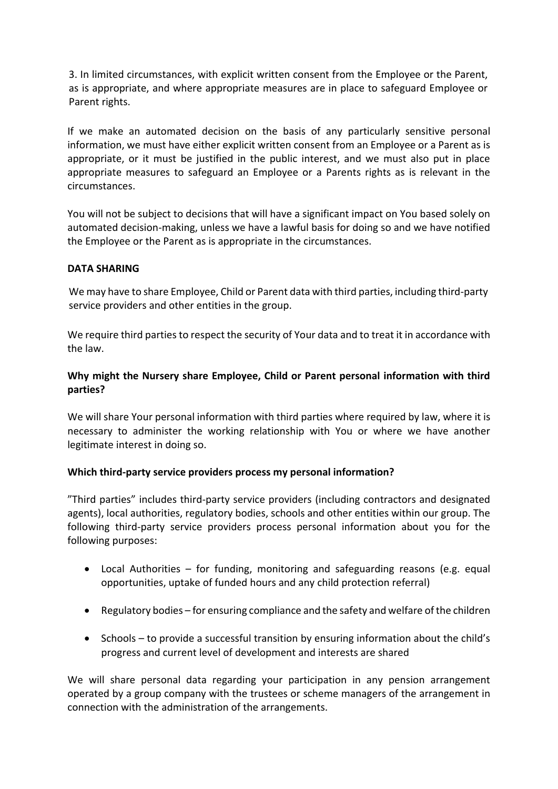3. In limited circumstances, with explicit written consent from the Employee or the Parent, as is appropriate, and where appropriate measures are in place to safeguard Employee or Parent rights.

If we make an automated decision on the basis of any particularly sensitive personal information, we must have either explicit written consent from an Employee or a Parent as is appropriate, or it must be justified in the public interest, and we must also put in place appropriate measures to safeguard an Employee or a Parents rights as is relevant in the circumstances.

You will not be subject to decisions that will have a significant impact on You based solely on automated decision-making, unless we have a lawful basis for doing so and we have notified the Employee or the Parent as is appropriate in the circumstances.

## **DATA SHARING**

We may have to share Employee, Child or Parent data with third parties, including third-party service providers and other entities in the group.

We require third parties to respect the security of Your data and to treat it in accordance with the law.

# **Why might the Nursery share Employee, Child or Parent personal information with third parties?**

We will share Your personal information with third parties where required by law, where it is necessary to administer the working relationship with You or where we have another legitimate interest in doing so.

# **Which third-party service providers process my personal information?**

"Third parties" includes third-party service providers (including contractors and designated agents), local authorities, regulatory bodies, schools and other entities within our group. The following third-party service providers process personal information about you for the following purposes:

- Local Authorities for funding, monitoring and safeguarding reasons (e.g. equal opportunities, uptake of funded hours and any child protection referral)
- Regulatory bodies for ensuring compliance and the safety and welfare of the children
- Schools to provide a successful transition by ensuring information about the child's progress and current level of development and interests are shared

We will share personal data regarding your participation in any pension arrangement operated by a group company with the trustees or scheme managers of the arrangement in connection with the administration of the arrangements.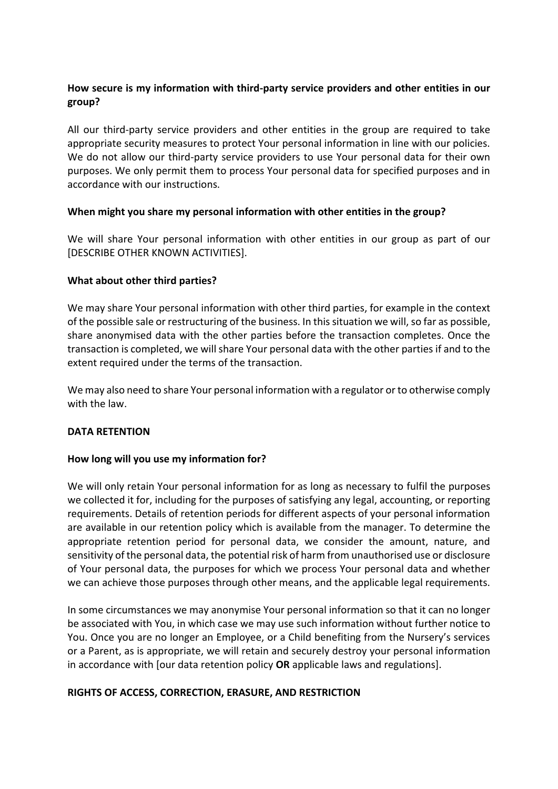# **How secure is my information with third-party service providers and other entities in our group?**

All our third-party service providers and other entities in the group are required to take appropriate security measures to protect Your personal information in line with our policies. We do not allow our third-party service providers to use Your personal data for their own purposes. We only permit them to process Your personal data for specified purposes and in accordance with our instructions.

## **When might you share my personal information with other entities in the group?**

We will share Your personal information with other entities in our group as part of our [DESCRIBE OTHER KNOWN ACTIVITIES].

## **What about other third parties?**

We may share Your personal information with other third parties, for example in the context of the possible sale or restructuring of the business. In this situation we will, so far as possible, share anonymised data with the other parties before the transaction completes. Once the transaction is completed, we will share Your personal data with the other parties if and to the extent required under the terms of the transaction.

We may also need to share Your personal information with a regulator or to otherwise comply with the law.

# **DATA RETENTION**

# **How long will you use my information for?**

We will only retain Your personal information for as long as necessary to fulfil the purposes we collected it for, including for the purposes of satisfying any legal, accounting, or reporting requirements. Details of retention periods for different aspects of your personal information are available in our retention policy which is available from the manager. To determine the appropriate retention period for personal data, we consider the amount, nature, and sensitivity of the personal data, the potential risk of harm from unauthorised use or disclosure of Your personal data, the purposes for which we process Your personal data and whether we can achieve those purposes through other means, and the applicable legal requirements.

In some circumstances we may anonymise Your personal information so that it can no longer be associated with You, in which case we may use such information without further notice to You. Once you are no longer an Employee, or a Child benefiting from the Nursery's services or a Parent, as is appropriate, we will retain and securely destroy your personal information in accordance with [our data retention policy **OR** applicable laws and regulations].

#### **RIGHTS OF ACCESS, CORRECTION, ERASURE, AND RESTRICTION**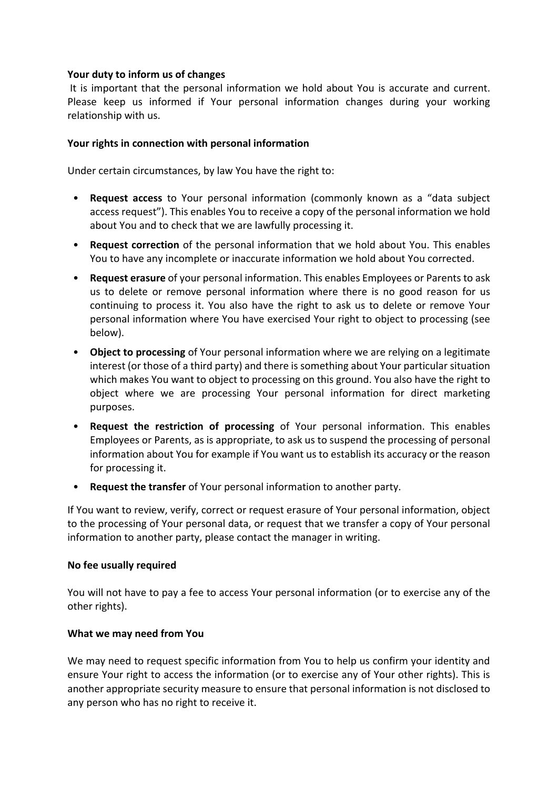## **Your duty to inform us of changes**

It is important that the personal information we hold about You is accurate and current. Please keep us informed if Your personal information changes during your working relationship with us.

## **Your rights in connection with personal information**

Under certain circumstances, by law You have the right to:

- **Request access** to Your personal information (commonly known as a "data subject access request"). This enables You to receive a copy of the personal information we hold about You and to check that we are lawfully processing it.
- **Request correction** of the personal information that we hold about You. This enables You to have any incomplete or inaccurate information we hold about You corrected.
- **Request erasure** of your personal information. This enables Employees or Parents to ask us to delete or remove personal information where there is no good reason for us continuing to process it. You also have the right to ask us to delete or remove Your personal information where You have exercised Your right to object to processing (see below).
- **Object to processing** of Your personal information where we are relying on a legitimate interest (or those of a third party) and there is something about Your particular situation which makes You want to object to processing on this ground. You also have the right to object where we are processing Your personal information for direct marketing purposes.
- **Request the restriction of processing** of Your personal information. This enables Employees or Parents, as is appropriate, to ask us to suspend the processing of personal information about You for example if You want us to establish its accuracy or the reason for processing it.
- **Request the transfer** of Your personal information to another party.

If You want to review, verify, correct or request erasure of Your personal information, object to the processing of Your personal data, or request that we transfer a copy of Your personal information to another party, please contact the manager in writing.

#### **No fee usually required**

You will not have to pay a fee to access Your personal information (or to exercise any of the other rights).

#### **What we may need from You**

We may need to request specific information from You to help us confirm your identity and ensure Your right to access the information (or to exercise any of Your other rights). This is another appropriate security measure to ensure that personal information is not disclosed to any person who has no right to receive it.